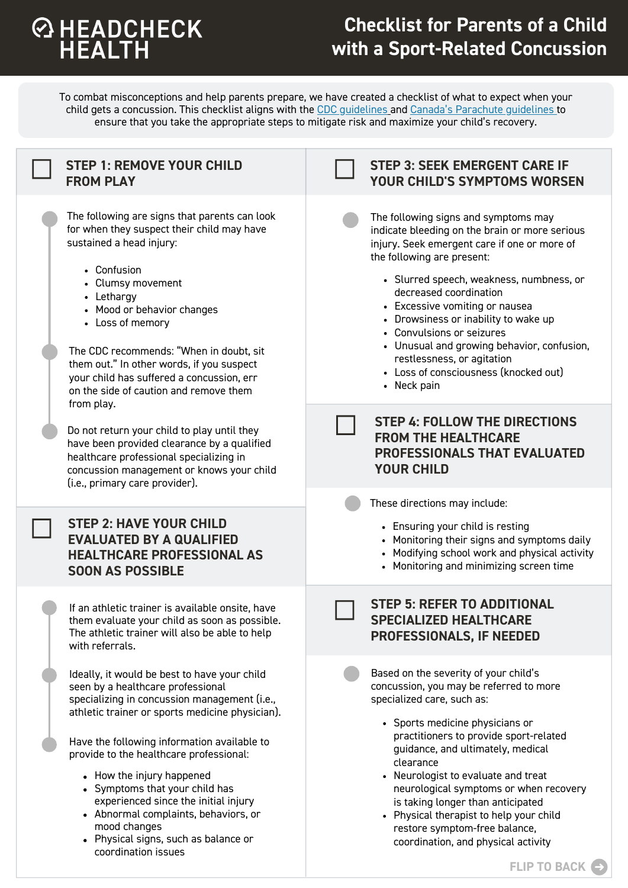## **EXPLOSE SHEAD CHECK**<br>HEALTH

## **Checklist for Parents of a Child with a Sport-Related Concussion**

To combat misconceptions and help parents prepare, we have created a checklist of what to expect when your child gets a concussion. This checklist aligns with the CDC guidelines and Canada's Parachute guidelines to ensure that you take the appropriate steps to mitigate risk and maximize your child's recovery.